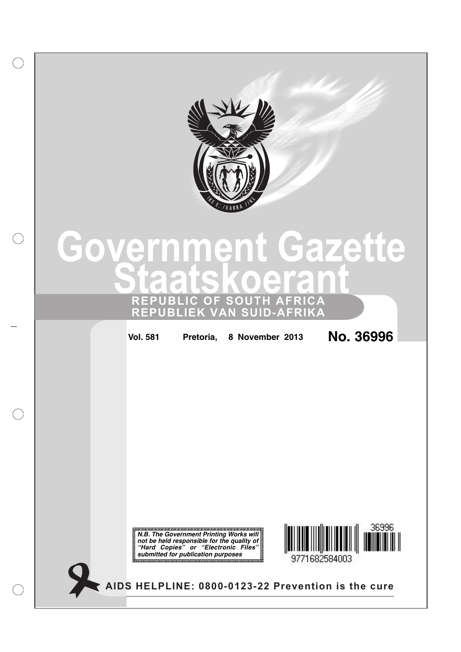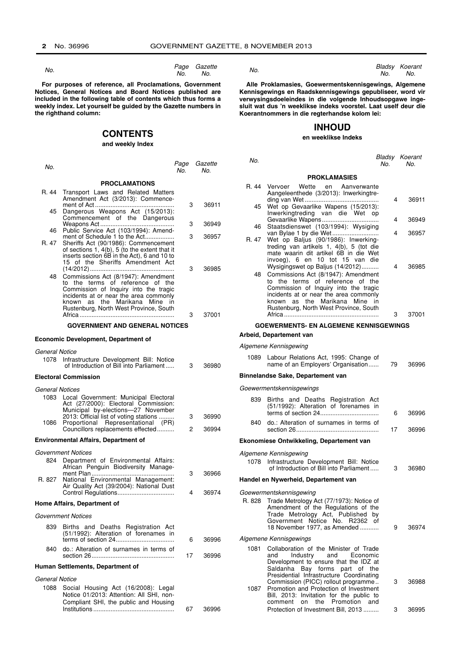$N<sub>0</sub>$ 

Page Gazette No. No.

For purposes of reference, all Proclamations, Government Notices, General Notices and Board Notices published are<br>included in the following table of contents which thus forms a weekly index. Let yourself be guided by the Gazette numbers in the righthand column:

## **CONTENTS**

## and weekly Index

| No.                            |                                                                                                                                                                                                                                             | Page<br>No. | Gazette<br>No. |
|--------------------------------|---------------------------------------------------------------------------------------------------------------------------------------------------------------------------------------------------------------------------------------------|-------------|----------------|
|                                | <b>PROCLAMATIONS</b>                                                                                                                                                                                                                        |             |                |
| R. 44                          | Transport Laws and Related Matters<br>Amendment Act (3/2013): Commence-                                                                                                                                                                     | 3           | 36911          |
| 45                             | Dangerous Weapons Act (15/2013):<br>Commencement of the Dangerous                                                                                                                                                                           |             |                |
| 46                             | Public Service Act (103/1994): Amend-                                                                                                                                                                                                       | 3           | 36949          |
| R. 47                          | ment of Schedule 1 to the Act<br>Sheriffs Act (90/1986): Commencement<br>of sections 1, 4(b), 5 (to the extent that it<br>inserts section 6B in the Act), 6 and 10 to<br>15 of the Sheriffs Amendment Act                                   | 3           | 36957          |
| 48                             | Commissions Act (8/1947): Amendment<br>the terms of reference of the<br>to<br>Commission of Inquiry into the tragic<br>incidents at or near the area commonly<br>known as the Marikana Mine<br>in<br>Rustenburg, North West Province, South | 3<br>3      | 36985<br>37001 |
|                                | <b>GOVERNMENT AND GENERAL NOTICES</b>                                                                                                                                                                                                       |             |                |
|                                |                                                                                                                                                                                                                                             |             |                |
|                                | <b>Economic Development, Department of</b>                                                                                                                                                                                                  |             |                |
| General Notice<br>1078         | Infrastructure Development Bill: Notice<br>of Introduction of Bill into Parliament                                                                                                                                                          | 3           | 36980          |
|                                | <b>Electoral Commission</b>                                                                                                                                                                                                                 |             |                |
| <b>General Notices</b><br>1083 | Local Government: Municipal Electoral<br>Act (27/2000): Electoral Commission:<br>Municipal by-elections-27 November<br>2013: Official list of voting stations                                                                               | 3           | 36990          |
| 1086                           | Proportional Representational (PR)<br>Councillors replacements effected                                                                                                                                                                     | 2           | 36994          |
|                                | <b>Environmental Affairs, Department of</b>                                                                                                                                                                                                 |             |                |
| 824                            | Government Notices<br>Department of Environmental Affairs:<br>African Penguin Biodiversity Manage-                                                                                                                                          |             |                |
| R. 827                         | National Environmental Management:<br>Air Quality Act (39/2004): National Dust                                                                                                                                                              | 3           | 36966          |
|                                |                                                                                                                                                                                                                                             | 4           | 36974          |

#### Home Affairs, Department of

**Government Notices** 

| 839 Births and Deaths Registration Act<br>(51/1992): Alteration of forenames in |     |       |
|---------------------------------------------------------------------------------|-----|-------|
|                                                                                 | - 6 | 36996 |
| 840 do.: Alteration of surnames in terms of                                     | -17 | 36996 |

67

36996

#### Human Settlements, Department of

**General Notice** 

1088 Social Housing Act (16/2008): Legal Notice 01/2013: Attention: All SHI, non-Compliant SHI, the public and Housing 

 $No$ 

Bladsy Koerant No. No.

Alle Proklamasies, Goewermentskennisgewings, Algemene Kennisgewings en Raadskennisgewings gepubliseer, word vir<br>verwysingsdoeleindes in die volgende Inhoudsopgawe ingesluit wat dus 'n weeklikse indeks voorstel. Laat uself deur die Koerantnommers in die regterhandse kolom lei:

## **INHOUD**

#### en weeklikse Indeks

| No.   |                                                                                                                                                                                                                                                                              | No. | Bladsy Koerant<br>No. |
|-------|------------------------------------------------------------------------------------------------------------------------------------------------------------------------------------------------------------------------------------------------------------------------------|-----|-----------------------|
|       | <b>PROKLAMASIES</b>                                                                                                                                                                                                                                                          |     |                       |
|       | R. 44 Vervoer Wette en Aanverwante<br>Aangeleenthede (3/2013): Inwerkingtre-<br>ding van Wet                                                                                                                                                                                 | 4   | 36911                 |
| 45    | Wet op Gevaarlike Wapens (15/2013):<br>Inwerkingtreding van die Wet op                                                                                                                                                                                                       |     |                       |
|       | Gevaarlike Wapens                                                                                                                                                                                                                                                            | 4   | 36949                 |
| 46    | Staatsdienswet (103/1994): Wysiging                                                                                                                                                                                                                                          | 4   | 36957                 |
| R. 47 | Wet op Baljus (90/1986): Inwerking-<br>treding van artikels 1, 4(b), 5 (tot die<br>mate waarin dit artikel 6B in die Wet<br>invoeg), 6 en 10 tot 15 van die                                                                                                                  |     |                       |
|       | Wysigingswet op Baljus (14/2012)<br>48 Commissions Act (8/1947): Amendment<br>to the terms of reference of the<br>Commission of Inquiry into the tragic<br>incidents at or near the area commonly<br>known as the Marikana Mine in<br>Rustenburg, North West Province, South | 4   | 36985                 |
|       |                                                                                                                                                                                                                                                                              | 3   | 37001                 |

#### **GOEWERMENTS- EN ALGEMENE KENNISGEWINGS**

Arbeid, Departement van Algemene Kennisgewing

|                        | 1089 Labour Relations Act, 1995: Change of<br>name of an Employers' Organisation                                                                                                                                            | 79 | 36996 |  |  |  |  |  |
|------------------------|-----------------------------------------------------------------------------------------------------------------------------------------------------------------------------------------------------------------------------|----|-------|--|--|--|--|--|
|                        | <b>Binnelandse Sake, Departement van</b>                                                                                                                                                                                    |    |       |  |  |  |  |  |
|                        | Goewermentskennisgewings                                                                                                                                                                                                    |    |       |  |  |  |  |  |
| 839                    | Births and Deaths Registration Act<br>(51/1992): Alteration of forenames in                                                                                                                                                 | 6  | 36996 |  |  |  |  |  |
| 840.                   | do.: Alteration of surnames in terms of                                                                                                                                                                                     | 17 | 36996 |  |  |  |  |  |
|                        | Ekonomiese Ontwikkeling, Departement van                                                                                                                                                                                    |    |       |  |  |  |  |  |
| 1078                   | Algemene Kennisgewing<br>Infrastructure Development Bill: Notice<br>of Introduction of Bill into Parliament                                                                                                                 | 3  | 36980 |  |  |  |  |  |
|                        | Handel en Nywerheid, Departement van                                                                                                                                                                                        |    |       |  |  |  |  |  |
|                        | Goewermentskennisgewing<br>R. 828 Trade Metrology Act (77/1973): Notice of<br>Amendment of the Regulations of the<br>Trade Metrology Act, Published<br>bv<br>Government Notice No. R2362 of<br>18 November 1977, as Amended | 9  | 36974 |  |  |  |  |  |
| Algemene Kennisgewings |                                                                                                                                                                                                                             |    |       |  |  |  |  |  |
| 1081                   | Collaboration of the Minister of Trade<br>Industry and Economic<br>and<br>Development to ensure that the IDZ at<br>Saldanha Bay forms part of the<br>Presidential Infrastructure Coordinating                               |    |       |  |  |  |  |  |
| 1087                   | Commission (PICC) rollout programme<br>Promotion and Protection of Investment<br>Bill, 2013: Invitation for the public to<br>Promotion and<br>the<br>comment<br>on                                                          | 3  | 36988 |  |  |  |  |  |
|                        | Protection of Investment Bill, 2013                                                                                                                                                                                         | 3  | 36995 |  |  |  |  |  |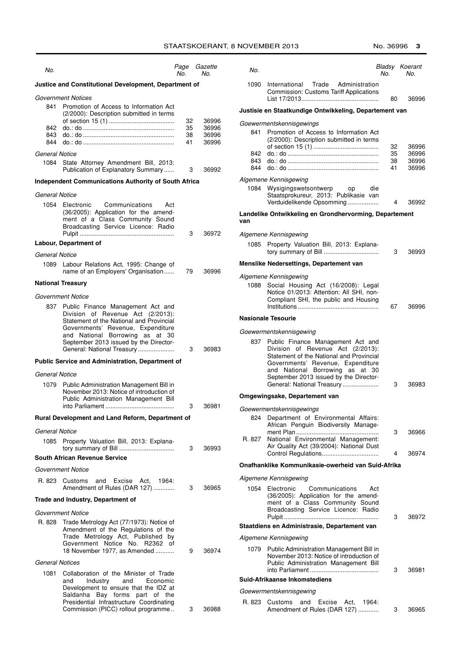| No.                                                   |                                                                                                                                                                                                                                                                       | Page<br>No. | Gazette<br>No. |  |  |  |
|-------------------------------------------------------|-----------------------------------------------------------------------------------------------------------------------------------------------------------------------------------------------------------------------------------------------------------------------|-------------|----------------|--|--|--|
| Justice and Constitutional Development, Department of |                                                                                                                                                                                                                                                                       |             |                |  |  |  |
| 841<br>842                                            | Government Notices<br>Promotion of Access to Information Act<br>(2/2000): Description submitted in terms<br>$do.: do \dots 0$                                                                                                                                         | 32<br>35    | 36996<br>36996 |  |  |  |
| 843<br>844                                            | $do.: do \dots 0$                                                                                                                                                                                                                                                     | 38<br>41    | 36996<br>36996 |  |  |  |
| General Notice<br>1084                                | State Attorney Amendment Bill, 2013:<br>Publication of Explanatory Summary                                                                                                                                                                                            | 3           | 36992          |  |  |  |
|                                                       | <b>Independent Communications Authority of South Africa</b>                                                                                                                                                                                                           |             |                |  |  |  |
| General Notice                                        |                                                                                                                                                                                                                                                                       |             |                |  |  |  |
| 1054                                                  | Electronic<br>Communications<br>Act<br>(36/2005): Application for the amend-<br>ment of a Class Community Sound<br>Broadcasting Service Licence: Radio                                                                                                                | 3           | 36972          |  |  |  |
|                                                       | Labour, Department of                                                                                                                                                                                                                                                 |             |                |  |  |  |
| General Notice                                        |                                                                                                                                                                                                                                                                       |             |                |  |  |  |
|                                                       | 1089 Labour Relations Act, 1995: Change of<br>name of an Employers' Organisation                                                                                                                                                                                      | 79          | 36996          |  |  |  |
|                                                       | <b>National Treasury</b>                                                                                                                                                                                                                                              |             |                |  |  |  |
|                                                       | Government Notice                                                                                                                                                                                                                                                     |             |                |  |  |  |
| 837                                                   | Public Finance Management Act and<br>Division of Revenue Act (2/2013):<br>Statement of the National and Provincial<br>Governments' Revenue, Expenditure<br>and National Borrowing as at<br>30<br>September 2013 issued by the Director-<br>General: National Treasury | 3           | 36983          |  |  |  |
|                                                       | <b>Public Service and Administration, Department of</b>                                                                                                                                                                                                               |             |                |  |  |  |
| General Notice                                        |                                                                                                                                                                                                                                                                       |             |                |  |  |  |
| 1079                                                  | Public Administration Management Bill in<br>November 2013: Notice of introduction of<br>Public Administration Management Bill<br>into Parliament                                                                                                                      | 3           | 36981          |  |  |  |
|                                                       | Rural Development and Land Reform, Department of                                                                                                                                                                                                                      |             |                |  |  |  |
| General Notice                                        |                                                                                                                                                                                                                                                                       |             |                |  |  |  |
| 1085                                                  | Property Valuation Bill, 2013: Explana-                                                                                                                                                                                                                               | 3           | 36993          |  |  |  |
|                                                       | <b>South African Revenue Service</b>                                                                                                                                                                                                                                  |             |                |  |  |  |
|                                                       | Government Notice                                                                                                                                                                                                                                                     |             |                |  |  |  |
| R. 823                                                | Customs and<br>Excise Act. 1964:<br>Amendment of Rules (DAR 127)                                                                                                                                                                                                      | 3           | 36965          |  |  |  |
|                                                       | Trade and Industry, Department of                                                                                                                                                                                                                                     |             |                |  |  |  |
| Government Notice                                     |                                                                                                                                                                                                                                                                       |             |                |  |  |  |
| R. 828                                                | Trade Metrology Act (77/1973): Notice of<br>Amendment of the Regulations of the<br>Trade Metrology Act, Published by<br>Government Notice No. R2362<br>οf<br>18 November 1977, as Amended                                                                             | 9           | 36974          |  |  |  |
| <b>General Notices</b>                                |                                                                                                                                                                                                                                                                       |             |                |  |  |  |
| 1081                                                  | Collaboration of the Minister of Trade<br>Industry<br>and<br>Economic<br>and<br>Development to ensure that the IDZ at<br>Saldanha Bay forms part of the<br>Presidential Infrastructure Coordinating<br>Commission (PICC) rollout programme                            | 3           | 36988          |  |  |  |

| No.                      |                                                                                                                                                                                                                                                                          | No.                  | Bladsy Koerant<br>No.            |
|--------------------------|--------------------------------------------------------------------------------------------------------------------------------------------------------------------------------------------------------------------------------------------------------------------------|----------------------|----------------------------------|
| 1090                     | International Trade Administration<br><b>Commission: Customs Tariff Applications</b>                                                                                                                                                                                     | 80                   | 36996                            |
|                          | Justisie en Staatkundige Ontwikkeling, Departement van                                                                                                                                                                                                                   |                      |                                  |
| 841<br>842<br>843<br>844 | Goewermentskennisgewings<br>Promotion of Access to Information Act<br>(2/2000): Description submitted in terms<br>$do.: do \dots 0$                                                                                                                                      | 32<br>35<br>38<br>41 | 36996<br>36996<br>36996<br>36996 |
| 1084                     | Algemene Kennisgewing<br>Wysigingswetsontwerp op<br>die<br>Staatsprokureur, 2013: Publikasie van<br>Verduidelikende Opsomming                                                                                                                                            | 4                    | 36992                            |
| van                      | Landelike Ontwikkeling en Grondhervorming, Departement                                                                                                                                                                                                                   |                      |                                  |
|                          | Algemene Kennisgewing                                                                                                                                                                                                                                                    |                      |                                  |
| 1085                     | Property Valuation Bill, 2013: Explana-                                                                                                                                                                                                                                  | 3                    | 36993                            |
|                          | Menslike Nedersettings, Departement van                                                                                                                                                                                                                                  |                      |                                  |
| 1088                     | Algemene Kennisgewing<br>Social Housing Act (16/2008): Legal<br>Notice 01/2013: Attention: All SHI, non-<br>Compliant SHI, the public and Housing                                                                                                                        | 67                   | 36996                            |
|                          | <b>Nasionale Tesourie</b>                                                                                                                                                                                                                                                |                      |                                  |
|                          | Goewermentskennisgewing                                                                                                                                                                                                                                                  |                      |                                  |
| 837                      | Public Finance Management Act and<br>of Revenue Act (2/2013):<br>Division<br>Statement of the National and Provincial<br>Governments' Revenue, Expenditure<br>and National Borrowing as at<br>30<br>September 2013 issued by the Director-<br>General: National Treasury | 3                    | 36983                            |
|                          | Omgewingsake, Departement van                                                                                                                                                                                                                                            |                      |                                  |
| 824<br>R. 827            | Goewermentskennisgewings<br>Department of Environmental Affairs:<br>African Penguin Biodiversity Manage-<br>National Environmental Management:                                                                                                                           | 3                    | 36966                            |
|                          | Air Quality Act (39/2004): National Dust                                                                                                                                                                                                                                 | 4                    | 36974                            |
|                          | Onafhanklike Kommunikasie-owerheid van Suid-Afrika                                                                                                                                                                                                                       |                      |                                  |
|                          | Algemene Kennisgewing                                                                                                                                                                                                                                                    |                      |                                  |
| 1054                     | Electronic<br>Communications<br>Act<br>(36/2005): Application for the amend-<br>ment of a Class Community Sound<br>Broadcasting Service Licence: Radio                                                                                                                   | 3                    | 36972                            |
|                          | Staatdiens en Administrasie, Departement van                                                                                                                                                                                                                             |                      |                                  |
|                          | Algemene Kennisgewing                                                                                                                                                                                                                                                    |                      |                                  |
| 1079                     | Public Administration Management Bill in<br>November 2013: Notice of introduction of<br>Public Administration Management Bill                                                                                                                                            | 3                    | 36981                            |
|                          | Suid-Afrikaanse Inkomstediens                                                                                                                                                                                                                                            |                      |                                  |
|                          | Goewermentskennisgewing                                                                                                                                                                                                                                                  |                      |                                  |
| R. 823                   | Excise<br>Customs<br>and<br>Act. 1964:<br>Amendment of Rules (DAR 127)                                                                                                                                                                                                   | 3                    | 36965                            |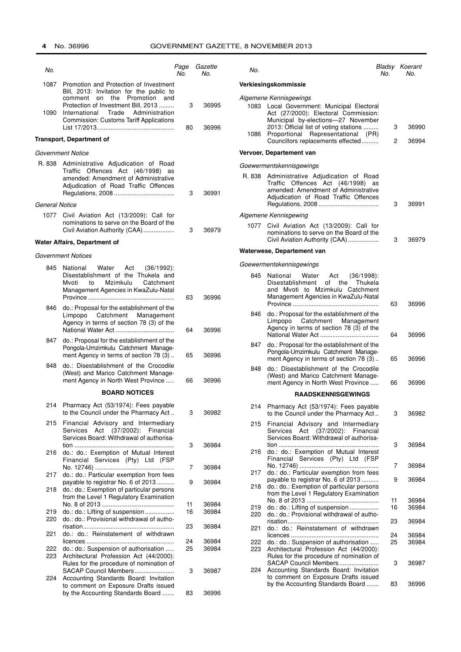#### **GOVERNMENT GAZETTE, 8 NOVEMBER 2013**

| No.                   |                                                                                                                                                                                                               | Page<br>No. | Gazette<br>No. | No.  |                                                                                                                                                                                                                                    | No.      | Bladsy Koerant<br>No. |
|-----------------------|---------------------------------------------------------------------------------------------------------------------------------------------------------------------------------------------------------------|-------------|----------------|------|------------------------------------------------------------------------------------------------------------------------------------------------------------------------------------------------------------------------------------|----------|-----------------------|
| 1087                  | Promotion and Protection of Investment                                                                                                                                                                        |             |                |      | Verkiesingskommissie                                                                                                                                                                                                               |          |                       |
| 1090                  | Bill, 2013: Invitation for the public to<br>comment on the Promotion and<br>Protection of Investment Bill, 2013<br>Trade<br>Administration<br>International<br><b>Commission: Customs Tariff Applications</b> | 3<br>80     | 36995<br>36996 | 1086 | Algemene Kennisgewings<br>1083 Local Government: Municipal Electoral<br>Act (27/2000): Electoral Commission:<br>Municipal by-elections-27 November<br>2013: Official list of voting stations<br>Proportional Representational (PR) | 3        | 36990                 |
|                       | <b>Transport, Department of</b>                                                                                                                                                                               |             |                |      | Councillors replacements effected                                                                                                                                                                                                  | 2        | 36994                 |
|                       | Government Notice                                                                                                                                                                                             |             |                |      | Vervoer, Departement van                                                                                                                                                                                                           |          |                       |
|                       | R. 838 Administrative Adjudication of Road<br>Traffic Offences Act (46/1998) as                                                                                                                               |             |                |      | Goewermentskennisgewings                                                                                                                                                                                                           |          |                       |
|                       | amended: Amendment of Administrative<br>Adjudication of Road Traffic Offences                                                                                                                                 | 3           | 36991          |      | R. 838 Administrative Adjudication of Road<br>Traffic Offences Act (46/1998) as<br>amended: Amendment of Administrative<br>Adjudication of Road Traffic Offences                                                                   |          |                       |
| <b>General Notice</b> |                                                                                                                                                                                                               |             |                |      |                                                                                                                                                                                                                                    | 3        | 36991                 |
| 1077                  | Civil Aviation Act (13/2009): Call for<br>nominations to serve on the Board of the<br>Civil Aviation Authority (CAA)                                                                                          | 3           | 36979          | 1077 | Algemene Kennisgewing<br>Civil Aviation Act (13/2009): Call for<br>nominations to serve on the Board of the<br>Civil Aviation Authority (CAA)                                                                                      | 3        | 36979                 |
|                       | Water Affairs, Department of                                                                                                                                                                                  |             |                |      | Waterwese, Departement van                                                                                                                                                                                                         |          |                       |
|                       | Government Notices                                                                                                                                                                                            |             |                |      | Goewermentskennisgewings                                                                                                                                                                                                           |          |                       |
| 845                   | National<br>Water<br>Act<br>$(36/1992)$ :<br>Disestablishment of the Thukela and                                                                                                                              |             |                | 845  | National<br>Water<br>Act<br>$(36/1998)$ :                                                                                                                                                                                          |          |                       |
|                       | Mvoti<br>to<br>Mzimkulu<br>Catchment<br>Management Agencies in KwaZulu-Natal                                                                                                                                  | 63          | 36996          |      | Disestablishment<br>of the<br>Thukela<br>and Mvoti to Mzimkulu Catchment<br>Management Agencies in KwaZulu-Natal                                                                                                                   | 63       | 36996                 |
| 846                   | do.: Proposal for the establishment of the<br>Limpopo Catchment Management<br>Agency in terms of section 78 (3) of the                                                                                        | 64          | 36996          | 846  | do.: Proposal for the establishment of the<br>Limpopo<br>Catchment<br>Management<br>Agency in terms of section 78 (3) of the                                                                                                       |          |                       |
| 847                   | do.: Proposal for the establishment of the<br>Pongola-Umzimkulu Catchment Manage-<br>ment Agency in terms of section 78 (3)                                                                                   | 65          | 36996          | 847  | do.: Proposal for the establishment of the<br>Pongola-Umzimkulu Catchment Manage-<br>ment Agency in terms of section 78 (3)                                                                                                        | 64<br>65 | 36996<br>36996        |
| 848                   | do.: Disestablishment of the Crocodile<br>(West) and Marico Catchment Manage-<br>ment Agency in North West Province                                                                                           | 66          | 36996          | 848  | do.: Disestablishment of the Crocodile<br>(West) and Marico Catchment Manage-<br>ment Agency in North West Province                                                                                                                | 66       | 36996                 |
|                       | <b>BOARD NOTICES</b>                                                                                                                                                                                          |             |                |      | <b>RAADSKENNISGEWINGS</b>                                                                                                                                                                                                          |          |                       |
| 214                   | Pharmacy Act (53/1974): Fees payable                                                                                                                                                                          |             |                | 214  | Pharmacy Act (53/1974): Fees payable                                                                                                                                                                                               |          |                       |
| 215                   | to the Council under the Pharmacy Act<br>Financial Advisory and Intermediary<br>Services Act (37/2002): Financial<br>Services Board: Withdrawal of authorisa-                                                 | 3           | 36982          |      | to the Council under the Pharmacy Act<br>215 Financial Advisory and Intermediary<br>Services Act (37/2002): Financial<br>Services Board: Withdrawal of authorisa-                                                                  | 3        | 36982                 |
| 216                   | do.: do.: Exemption of Mutual Interest<br>Financial Services (Pty) Ltd (FSP                                                                                                                                   | 3           | 36984          | 216  | do.: do.: Exemption of Mutual Interest<br>Financial Services (Pty) Ltd (FSP                                                                                                                                                        | 3        | 36984                 |
|                       |                                                                                                                                                                                                               | 7           | 36984          | 217  | do.: do.: Particular exemption from fees                                                                                                                                                                                           | 7        | 36984                 |
| 217                   | do.: do.: Particular exemption from fees<br>payable to registrar No. 6 of 2013                                                                                                                                | 9           | 36984          |      | payable to registrar No. 6 of 2013                                                                                                                                                                                                 | 9        | 36984                 |
| 218                   | do.: do.: Exemption of particular persons<br>from the Level 1 Regulatory Examination                                                                                                                          |             |                | 218  | do.: do.: Exemption of particular persons<br>from the Level 1 Regulatory Examination                                                                                                                                               |          |                       |
|                       |                                                                                                                                                                                                               | 11          | 36984          | 219  | do.: do.: Lifting of suspension                                                                                                                                                                                                    | 11<br>16 | 36984<br>36984        |
| 219<br>220            | do.: do.: Lifting of suspension<br>do.: do.: Provisional withdrawal of autho-                                                                                                                                 | 16          | 36984          | 220  | do.: do.: Provisional withdrawal of autho-                                                                                                                                                                                         | 23       | 36984                 |
| 221                   | do.: do.: Reinstatement of withdrawn                                                                                                                                                                          | 23          | 36984          | 221  | do.: do.: Reinstatement of withdrawn                                                                                                                                                                                               | 24       | 36984                 |
|                       |                                                                                                                                                                                                               | 24          | 36984          | 222  | do.: do.: Suspension of authorisation                                                                                                                                                                                              | 25       | 36984                 |
| 222<br>223            | do.: do.: Suspension of authorisation<br>Architectural Profession Act (44/2000):                                                                                                                              | 25          | 36984          | 223  | Architectural Profession Act (44/2000):<br>Rules for the procedure of nomination of                                                                                                                                                |          |                       |
| 224                   | Rules for the procedure of nomination of<br>SACAP Council Members<br>Accounting Standards Board: Invitation                                                                                                   | 3           | 36987          | 224  | SACAP Council Members<br>Accounting Standards Board: Invitation<br>to comment on Exposure Drafts issued                                                                                                                            | 3        | 36987                 |
|                       | to comment on Exposure Drafts issued<br>by the Accounting Standards Board                                                                                                                                     | 83          | 36996          |      | by the Accounting Standards Board                                                                                                                                                                                                  | 83       | 36996                 |